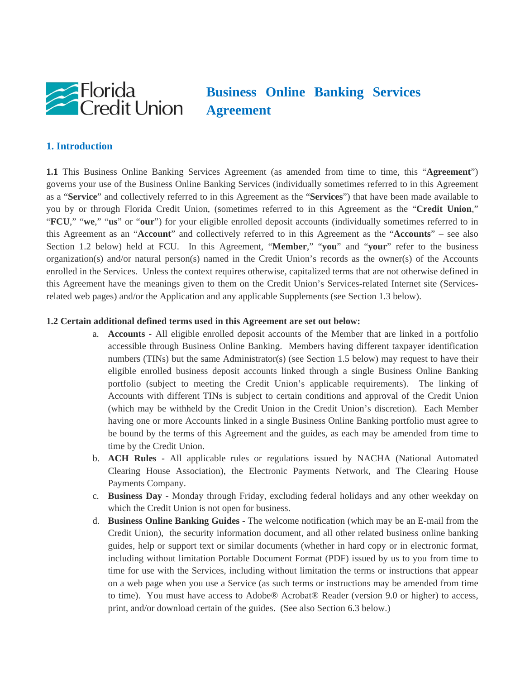

# **Business Online Banking Services Agreement**

#### **1. Introduction**

**1.1** This Business Online Banking Services Agreement (as amended from time to time, this "**Agreement**") governs your use of the Business Online Banking Services (individually sometimes referred to in this Agreement as a "**Service**" and collectively referred to in this Agreement as the "**Services**") that have been made available to you by or through Florida Credit Union, (sometimes referred to in this Agreement as the "**Credit Union**," "**FCU**," "**we**," "**us**" or "**our**") for your eligible enrolled deposit accounts (individually sometimes referred to in this Agreement as an "**Account**" and collectively referred to in this Agreement as the "**Accounts**" – see also Section 1.2 below) held at FCU. In this Agreement, "**Member**," "**you**" and "**your**" refer to the business organization(s) and/or natural person(s) named in the Credit Union's records as the owner(s) of the Accounts enrolled in the Services. Unless the context requires otherwise, capitalized terms that are not otherwise defined in this Agreement have the meanings given to them on the Credit Union's Services-related Internet site (Servicesrelated web pages) and/or the Application and any applicable Supplements (see Section 1.3 below).

#### **1.2 Certain additional defined terms used in this Agreement are set out below:**

- a. **Accounts -** All eligible enrolled deposit accounts of the Member that are linked in a portfolio accessible through Business Online Banking. Members having different taxpayer identification numbers (TINs) but the same Administrator(s) (see Section 1.5 below) may request to have their eligible enrolled business deposit accounts linked through a single Business Online Banking portfolio (subject to meeting the Credit Union's applicable requirements). The linking of Accounts with different TINs is subject to certain conditions and approval of the Credit Union (which may be withheld by the Credit Union in the Credit Union's discretion). Each Member having one or more Accounts linked in a single Business Online Banking portfolio must agree to be bound by the terms of this Agreement and the guides, as each may be amended from time to time by the Credit Union.
- b. **ACH Rules** All applicable rules or regulations issued by NACHA (National Automated Clearing House Association), the Electronic Payments Network, and The Clearing House Payments Company.
- c. **Business Day -** Monday through Friday, excluding federal holidays and any other weekday on which the Credit Union is not open for business.
- d. **Business Online Banking Guides -** The welcome notification (which may be an E-mail from the Credit Union), the security information document, and all other related business online banking guides, help or support text or similar documents (whether in hard copy or in electronic format, including without limitation Portable Document Format (PDF) issued by us to you from time to time for use with the Services, including without limitation the terms or instructions that appear on a web page when you use a Service (as such terms or instructions may be amended from time to time). You must have access to Adobe® Acrobat® Reader (version 9.0 or higher) to access, print, and/or download certain of the guides. (See also Section 6.3 below.)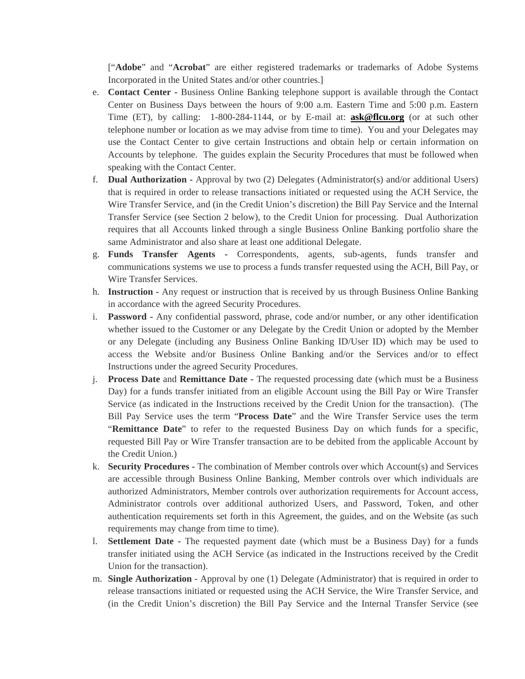["**Adobe**" and "**Acrobat**" are either registered trademarks or trademarks of Adobe Systems Incorporated in the United States and/or other countries.]

- e. **Contact Center -** Business Online Banking telephone support is available through the Contact Center on Business Days between the hours of 9:00 a.m. Eastern Time and 5:00 p.m. Eastern Time (ET), by calling: 1-800-284-1144, or by E-mail at: **ask@flcu.org** (or at such other telephone number or location as we may advise from time to time). You and your Delegates may use the Contact Center to give certain Instructions and obtain help or certain information on Accounts by telephone. The guides explain the Security Procedures that must be followed when speaking with the Contact Center.
- f. **Dual Authorization** Approval by two (2) Delegates (Administrator(s) and/or additional Users) that is required in order to release transactions initiated or requested using the ACH Service, the Wire Transfer Service, and (in the Credit Union's discretion) the Bill Pay Service and the Internal Transfer Service (see Section 2 below), to the Credit Union for processing. Dual Authorization requires that all Accounts linked through a single Business Online Banking portfolio share the same Administrator and also share at least one additional Delegate.
- g. **Funds Transfer Agents -** Correspondents, agents, sub-agents, funds transfer and communications systems we use to process a funds transfer requested using the ACH, Bill Pay, or Wire Transfer Services.
- h. **Instruction -** Any request or instruction that is received by us through Business Online Banking in accordance with the agreed Security Procedures.
- i. **Password -** Any confidential password, phrase, code and/or number, or any other identification whether issued to the Customer or any Delegate by the Credit Union or adopted by the Member or any Delegate (including any Business Online Banking ID/User ID) which may be used to access the Website and/or Business Online Banking and/or the Services and/or to effect Instructions under the agreed Security Procedures.
- j. **Process Date** and **Remittance Date** The requested processing date (which must be a Business Day) for a funds transfer initiated from an eligible Account using the Bill Pay or Wire Transfer Service (as indicated in the Instructions received by the Credit Union for the transaction). (The Bill Pay Service uses the term "**Process Date**" and the Wire Transfer Service uses the term "**Remittance Date**" to refer to the requested Business Day on which funds for a specific, requested Bill Pay or Wire Transfer transaction are to be debited from the applicable Account by the Credit Union.)
- k. **Security Procedures -** The combination of Member controls over which Account(s) and Services are accessible through Business Online Banking, Member controls over which individuals are authorized Administrators, Member controls over authorization requirements for Account access, Administrator controls over additional authorized Users, and Password, Token, and other authentication requirements set forth in this Agreement, the guides, and on the Website (as such requirements may change from time to time).
- l. **Settlement Date** The requested payment date (which must be a Business Day) for a funds transfer initiated using the ACH Service (as indicated in the Instructions received by the Credit Union for the transaction).
- m. **Single Authorization** Approval by one (1) Delegate (Administrator) that is required in order to release transactions initiated or requested using the ACH Service, the Wire Transfer Service, and (in the Credit Union's discretion) the Bill Pay Service and the Internal Transfer Service (see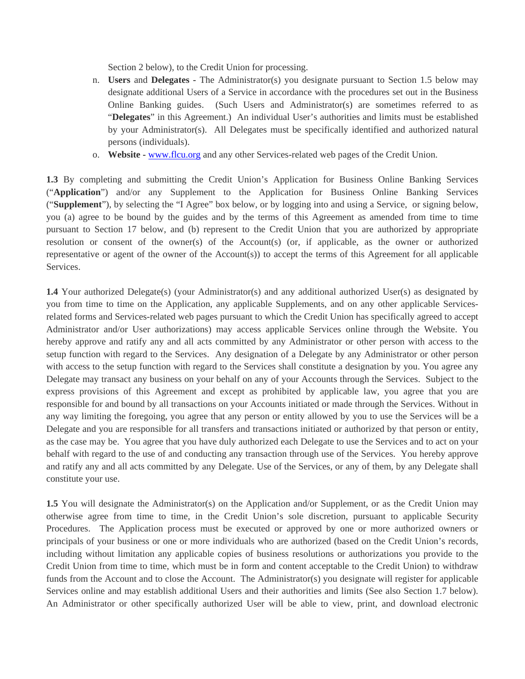Section 2 below), to the Credit Union for processing.

- n. **Users** and **Delegates -** The Administrator(s) you designate pursuant to Section 1.5 below may designate additional Users of a Service in accordance with the procedures set out in the Business Online Banking guides. (Such Users and Administrator(s) are sometimes referred to as "**Delegates**" in this Agreement.) An individual User's authorities and limits must be established by your Administrator(s). All Delegates must be specifically identified and authorized natural persons (individuals).
- o. **Website -** www.flcu.org and any other Services-related web pages of the Credit Union.

**1.3** By completing and submitting the Credit Union's Application for Business Online Banking Services ("**Application**") and/or any Supplement to the Application for Business Online Banking Services ("**Supplement**"), by selecting the "I Agree" box below, or by logging into and using a Service, or signing below, you (a) agree to be bound by the guides and by the terms of this Agreement as amended from time to time pursuant to Section 17 below, and (b) represent to the Credit Union that you are authorized by appropriate resolution or consent of the owner(s) of the Account(s) (or, if applicable, as the owner or authorized representative or agent of the owner of the Account(s)) to accept the terms of this Agreement for all applicable Services.

**1.4** Your authorized Delegate(s) (your Administrator(s) and any additional authorized User(s) as designated by you from time to time on the Application, any applicable Supplements, and on any other applicable Servicesrelated forms and Services-related web pages pursuant to which the Credit Union has specifically agreed to accept Administrator and/or User authorizations) may access applicable Services online through the Website. You hereby approve and ratify any and all acts committed by any Administrator or other person with access to the setup function with regard to the Services. Any designation of a Delegate by any Administrator or other person with access to the setup function with regard to the Services shall constitute a designation by you. You agree any Delegate may transact any business on your behalf on any of your Accounts through the Services. Subject to the express provisions of this Agreement and except as prohibited by applicable law, you agree that you are responsible for and bound by all transactions on your Accounts initiated or made through the Services. Without in any way limiting the foregoing, you agree that any person or entity allowed by you to use the Services will be a Delegate and you are responsible for all transfers and transactions initiated or authorized by that person or entity, as the case may be. You agree that you have duly authorized each Delegate to use the Services and to act on your behalf with regard to the use of and conducting any transaction through use of the Services. You hereby approve and ratify any and all acts committed by any Delegate. Use of the Services, or any of them, by any Delegate shall constitute your use.

**1.5** You will designate the Administrator(s) on the Application and/or Supplement, or as the Credit Union may otherwise agree from time to time, in the Credit Union's sole discretion, pursuant to applicable Security Procedures. The Application process must be executed or approved by one or more authorized owners or principals of your business or one or more individuals who are authorized (based on the Credit Union's records, including without limitation any applicable copies of business resolutions or authorizations you provide to the Credit Union from time to time, which must be in form and content acceptable to the Credit Union) to withdraw funds from the Account and to close the Account. The Administrator(s) you designate will register for applicable Services online and may establish additional Users and their authorities and limits (See also Section 1.7 below). An Administrator or other specifically authorized User will be able to view, print, and download electronic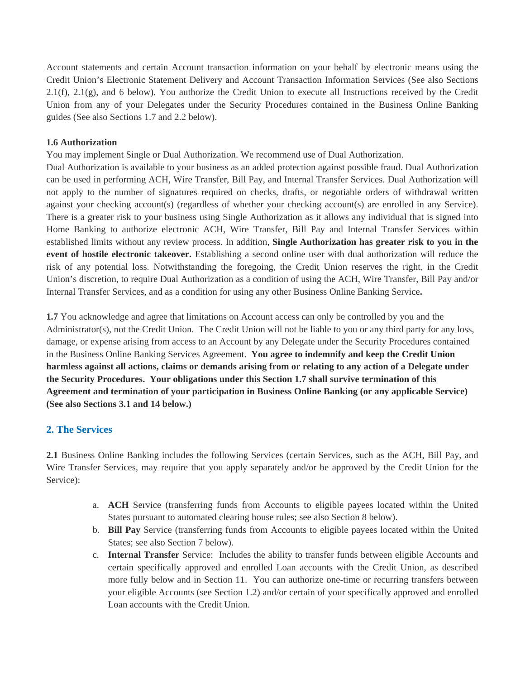Account statements and certain Account transaction information on your behalf by electronic means using the Credit Union's Electronic Statement Delivery and Account Transaction Information Services (See also Sections 2.1(f), 2.1(g), and 6 below). You authorize the Credit Union to execute all Instructions received by the Credit Union from any of your Delegates under the Security Procedures contained in the Business Online Banking guides (See also Sections 1.7 and 2.2 below).

#### **1.6 Authorization**

You may implement Single or Dual Authorization. We recommend use of Dual Authorization.

Dual Authorization is available to your business as an added protection against possible fraud. Dual Authorization can be used in performing ACH, Wire Transfer, Bill Pay, and Internal Transfer Services. Dual Authorization will not apply to the number of signatures required on checks, drafts, or negotiable orders of withdrawal written against your checking account(s) (regardless of whether your checking account(s) are enrolled in any Service). There is a greater risk to your business using Single Authorization as it allows any individual that is signed into Home Banking to authorize electronic ACH, Wire Transfer, Bill Pay and Internal Transfer Services within established limits without any review process. In addition, **Single Authorization has greater risk to you in the event of hostile electronic takeover.** Establishing a second online user with dual authorization will reduce the risk of any potential loss. Notwithstanding the foregoing, the Credit Union reserves the right, in the Credit Union's discretion, to require Dual Authorization as a condition of using the ACH, Wire Transfer, Bill Pay and/or Internal Transfer Services, and as a condition for using any other Business Online Banking Service**.** 

**1.7** You acknowledge and agree that limitations on Account access can only be controlled by you and the Administrator(s), not the Credit Union. The Credit Union will not be liable to you or any third party for any loss, damage, or expense arising from access to an Account by any Delegate under the Security Procedures contained in the Business Online Banking Services Agreement. **You agree to indemnify and keep the Credit Union harmless against all actions, claims or demands arising from or relating to any action of a Delegate under the Security Procedures. Your obligations under this Section 1.7 shall survive termination of this Agreement and termination of your participation in Business Online Banking (or any applicable Service) (See also Sections 3.1 and 14 below.)** 

## **2. The Services**

**2.1** Business Online Banking includes the following Services (certain Services, such as the ACH, Bill Pay, and Wire Transfer Services, may require that you apply separately and/or be approved by the Credit Union for the Service):

- a. **ACH** Service (transferring funds from Accounts to eligible payees located within the United States pursuant to automated clearing house rules; see also Section 8 below).
- b. **Bill Pay** Service (transferring funds from Accounts to eligible payees located within the United States; see also Section 7 below).
- c. **Internal Transfer** Service: Includes the ability to transfer funds between eligible Accounts and certain specifically approved and enrolled Loan accounts with the Credit Union, as described more fully below and in Section 11. You can authorize one-time or recurring transfers between your eligible Accounts (see Section 1.2) and/or certain of your specifically approved and enrolled Loan accounts with the Credit Union.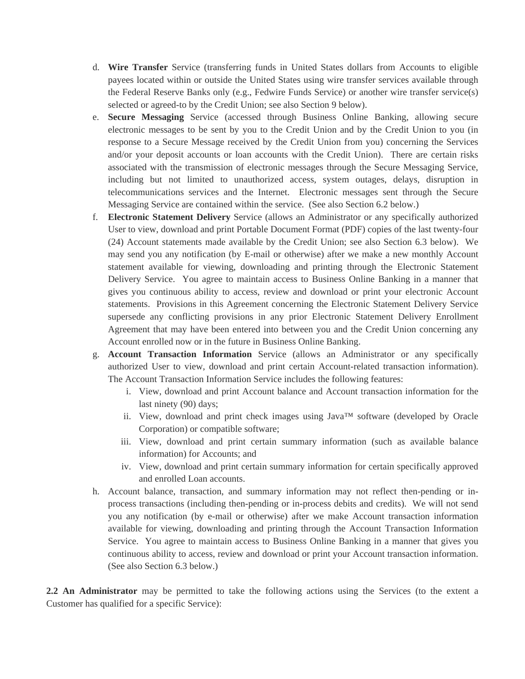- d. **Wire Transfer** Service (transferring funds in United States dollars from Accounts to eligible payees located within or outside the United States using wire transfer services available through the Federal Reserve Banks only (e.g., Fedwire Funds Service) or another wire transfer service(s) selected or agreed-to by the Credit Union; see also Section 9 below).
- e. **Secure Messaging** Service (accessed through Business Online Banking, allowing secure electronic messages to be sent by you to the Credit Union and by the Credit Union to you (in response to a Secure Message received by the Credit Union from you) concerning the Services and/or your deposit accounts or loan accounts with the Credit Union). There are certain risks associated with the transmission of electronic messages through the Secure Messaging Service, including but not limited to unauthorized access, system outages, delays, disruption in telecommunications services and the Internet. Electronic messages sent through the Secure Messaging Service are contained within the service. (See also Section 6.2 below.)
- f. **Electronic Statement Delivery** Service (allows an Administrator or any specifically authorized User to view, download and print Portable Document Format (PDF) copies of the last twenty-four (24) Account statements made available by the Credit Union; see also Section 6.3 below). We may send you any notification (by E-mail or otherwise) after we make a new monthly Account statement available for viewing, downloading and printing through the Electronic Statement Delivery Service. You agree to maintain access to Business Online Banking in a manner that gives you continuous ability to access, review and download or print your electronic Account statements. Provisions in this Agreement concerning the Electronic Statement Delivery Service supersede any conflicting provisions in any prior Electronic Statement Delivery Enrollment Agreement that may have been entered into between you and the Credit Union concerning any Account enrolled now or in the future in Business Online Banking.
- g. **Account Transaction Information** Service (allows an Administrator or any specifically authorized User to view, download and print certain Account-related transaction information). The Account Transaction Information Service includes the following features:
	- i. View, download and print Account balance and Account transaction information for the last ninety (90) days;
	- ii. View, download and print check images using Java™ software (developed by Oracle Corporation) or compatible software;
	- iii. View, download and print certain summary information (such as available balance information) for Accounts; and
	- iv. View, download and print certain summary information for certain specifically approved and enrolled Loan accounts.
- h. Account balance, transaction, and summary information may not reflect then-pending or inprocess transactions (including then-pending or in-process debits and credits). We will not send you any notification (by e-mail or otherwise) after we make Account transaction information available for viewing, downloading and printing through the Account Transaction Information Service. You agree to maintain access to Business Online Banking in a manner that gives you continuous ability to access, review and download or print your Account transaction information. (See also Section 6.3 below.)

**2.2 An Administrator** may be permitted to take the following actions using the Services (to the extent a Customer has qualified for a specific Service):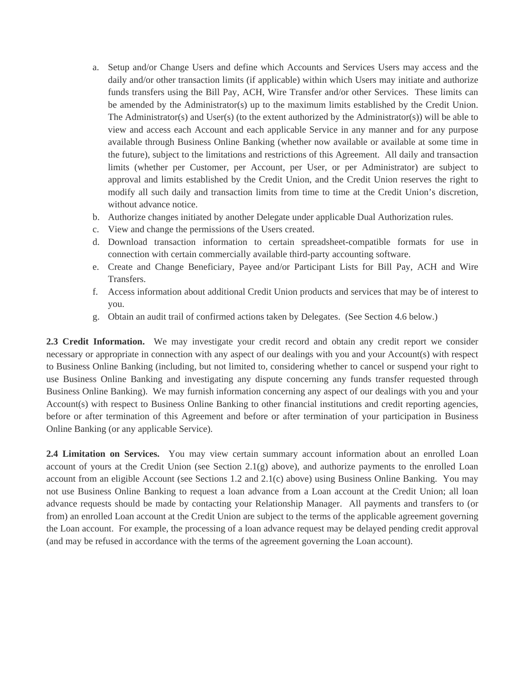- a. Setup and/or Change Users and define which Accounts and Services Users may access and the daily and/or other transaction limits (if applicable) within which Users may initiate and authorize funds transfers using the Bill Pay, ACH, Wire Transfer and/or other Services. These limits can be amended by the Administrator(s) up to the maximum limits established by the Credit Union. The Administrator(s) and User(s) (to the extent authorized by the Administrator(s)) will be able to view and access each Account and each applicable Service in any manner and for any purpose available through Business Online Banking (whether now available or available at some time in the future), subject to the limitations and restrictions of this Agreement. All daily and transaction limits (whether per Customer, per Account, per User, or per Administrator) are subject to approval and limits established by the Credit Union, and the Credit Union reserves the right to modify all such daily and transaction limits from time to time at the Credit Union's discretion, without advance notice.
- b. Authorize changes initiated by another Delegate under applicable Dual Authorization rules.
- c. View and change the permissions of the Users created.
- d. Download transaction information to certain spreadsheet-compatible formats for use in connection with certain commercially available third-party accounting software.
- e. Create and Change Beneficiary, Payee and/or Participant Lists for Bill Pay, ACH and Wire Transfers.
- f. Access information about additional Credit Union products and services that may be of interest to you.
- g. Obtain an audit trail of confirmed actions taken by Delegates. (See Section 4.6 below.)

**2.3 Credit Information.** We may investigate your credit record and obtain any credit report we consider necessary or appropriate in connection with any aspect of our dealings with you and your Account(s) with respect to Business Online Banking (including, but not limited to, considering whether to cancel or suspend your right to use Business Online Banking and investigating any dispute concerning any funds transfer requested through Business Online Banking). We may furnish information concerning any aspect of our dealings with you and your Account(s) with respect to Business Online Banking to other financial institutions and credit reporting agencies, before or after termination of this Agreement and before or after termination of your participation in Business Online Banking (or any applicable Service).

**2.4 Limitation on Services.** You may view certain summary account information about an enrolled Loan account of yours at the Credit Union (see Section 2.1(g) above), and authorize payments to the enrolled Loan account from an eligible Account (see Sections 1.2 and 2.1(c) above) using Business Online Banking. You may not use Business Online Banking to request a loan advance from a Loan account at the Credit Union; all loan advance requests should be made by contacting your Relationship Manager. All payments and transfers to (or from) an enrolled Loan account at the Credit Union are subject to the terms of the applicable agreement governing the Loan account. For example, the processing of a loan advance request may be delayed pending credit approval (and may be refused in accordance with the terms of the agreement governing the Loan account).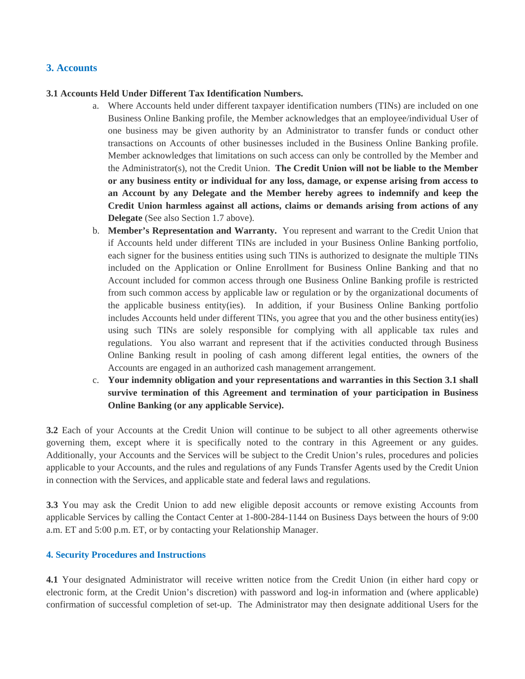## **3. Accounts**

#### **3.1 Accounts Held Under Different Tax Identification Numbers.**

- a. Where Accounts held under different taxpayer identification numbers (TINs) are included on one Business Online Banking profile, the Member acknowledges that an employee/individual User of one business may be given authority by an Administrator to transfer funds or conduct other transactions on Accounts of other businesses included in the Business Online Banking profile. Member acknowledges that limitations on such access can only be controlled by the Member and the Administrator(s), not the Credit Union. **The Credit Union will not be liable to the Member or any business entity or individual for any loss, damage, or expense arising from access to an Account by any Delegate and the Member hereby agrees to indemnify and keep the Credit Union harmless against all actions, claims or demands arising from actions of any Delegate** (See also Section 1.7 above).
- b. **Member's Representation and Warranty.** You represent and warrant to the Credit Union that if Accounts held under different TINs are included in your Business Online Banking portfolio, each signer for the business entities using such TINs is authorized to designate the multiple TINs included on the Application or Online Enrollment for Business Online Banking and that no Account included for common access through one Business Online Banking profile is restricted from such common access by applicable law or regulation or by the organizational documents of the applicable business entity(ies). In addition, if your Business Online Banking portfolio includes Accounts held under different TINs, you agree that you and the other business entity(ies) using such TINs are solely responsible for complying with all applicable tax rules and regulations. You also warrant and represent that if the activities conducted through Business Online Banking result in pooling of cash among different legal entities, the owners of the Accounts are engaged in an authorized cash management arrangement.
- c. **Your indemnity obligation and your representations and warranties in this Section 3.1 shall survive termination of this Agreement and termination of your participation in Business Online Banking (or any applicable Service).**

**3.2** Each of your Accounts at the Credit Union will continue to be subject to all other agreements otherwise governing them, except where it is specifically noted to the contrary in this Agreement or any guides. Additionally, your Accounts and the Services will be subject to the Credit Union's rules, procedures and policies applicable to your Accounts, and the rules and regulations of any Funds Transfer Agents used by the Credit Union in connection with the Services, and applicable state and federal laws and regulations.

**3.3** You may ask the Credit Union to add new eligible deposit accounts or remove existing Accounts from applicable Services by calling the Contact Center at 1-800-284-1144 on Business Days between the hours of 9:00 a.m. ET and 5:00 p.m. ET, or by contacting your Relationship Manager.

#### **4. Security Procedures and Instructions**

**4.1** Your designated Administrator will receive written notice from the Credit Union (in either hard copy or electronic form, at the Credit Union's discretion) with password and log-in information and (where applicable) confirmation of successful completion of set-up. The Administrator may then designate additional Users for the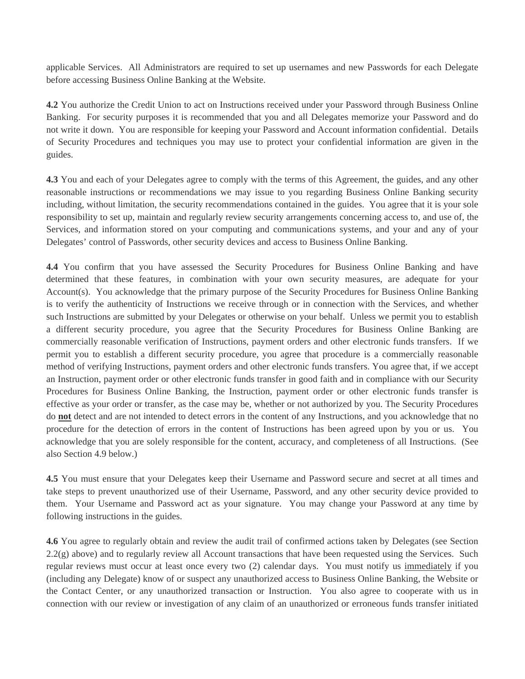applicable Services. All Administrators are required to set up usernames and new Passwords for each Delegate before accessing Business Online Banking at the Website.

**4.2** You authorize the Credit Union to act on Instructions received under your Password through Business Online Banking. For security purposes it is recommended that you and all Delegates memorize your Password and do not write it down. You are responsible for keeping your Password and Account information confidential. Details of Security Procedures and techniques you may use to protect your confidential information are given in the guides.

**4.3** You and each of your Delegates agree to comply with the terms of this Agreement, the guides, and any other reasonable instructions or recommendations we may issue to you regarding Business Online Banking security including, without limitation, the security recommendations contained in the guides. You agree that it is your sole responsibility to set up, maintain and regularly review security arrangements concerning access to, and use of, the Services, and information stored on your computing and communications systems, and your and any of your Delegates' control of Passwords, other security devices and access to Business Online Banking.

**4.4** You confirm that you have assessed the Security Procedures for Business Online Banking and have determined that these features, in combination with your own security measures, are adequate for your Account(s). You acknowledge that the primary purpose of the Security Procedures for Business Online Banking is to verify the authenticity of Instructions we receive through or in connection with the Services, and whether such Instructions are submitted by your Delegates or otherwise on your behalf. Unless we permit you to establish a different security procedure, you agree that the Security Procedures for Business Online Banking are commercially reasonable verification of Instructions, payment orders and other electronic funds transfers. If we permit you to establish a different security procedure, you agree that procedure is a commercially reasonable method of verifying Instructions, payment orders and other electronic funds transfers. You agree that, if we accept an Instruction, payment order or other electronic funds transfer in good faith and in compliance with our Security Procedures for Business Online Banking, the Instruction, payment order or other electronic funds transfer is effective as your order or transfer, as the case may be, whether or not authorized by you. The Security Procedures do **not** detect and are not intended to detect errors in the content of any Instructions, and you acknowledge that no procedure for the detection of errors in the content of Instructions has been agreed upon by you or us. You acknowledge that you are solely responsible for the content, accuracy, and completeness of all Instructions. (See also Section 4.9 below.)

**4.5** You must ensure that your Delegates keep their Username and Password secure and secret at all times and take steps to prevent unauthorized use of their Username, Password, and any other security device provided to them. Your Username and Password act as your signature. You may change your Password at any time by following instructions in the guides.

**4.6** You agree to regularly obtain and review the audit trail of confirmed actions taken by Delegates (see Section 2.2(g) above) and to regularly review all Account transactions that have been requested using the Services. Such regular reviews must occur at least once every two (2) calendar days. You must notify us immediately if you (including any Delegate) know of or suspect any unauthorized access to Business Online Banking, the Website or the Contact Center, or any unauthorized transaction or Instruction. You also agree to cooperate with us in connection with our review or investigation of any claim of an unauthorized or erroneous funds transfer initiated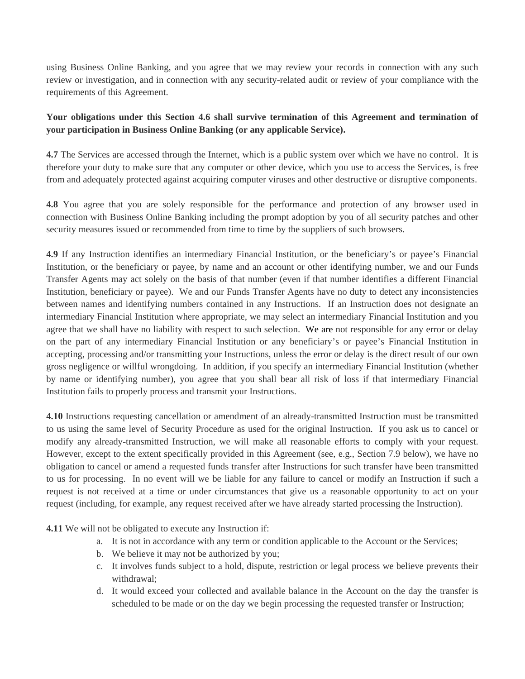using Business Online Banking, and you agree that we may review your records in connection with any such review or investigation, and in connection with any security-related audit or review of your compliance with the requirements of this Agreement.

## **Your obligations under this Section 4.6 shall survive termination of this Agreement and termination of your participation in Business Online Banking (or any applicable Service).**

**4.7** The Services are accessed through the Internet, which is a public system over which we have no control. It is therefore your duty to make sure that any computer or other device, which you use to access the Services, is free from and adequately protected against acquiring computer viruses and other destructive or disruptive components.

**4.8** You agree that you are solely responsible for the performance and protection of any browser used in connection with Business Online Banking including the prompt adoption by you of all security patches and other security measures issued or recommended from time to time by the suppliers of such browsers.

**4.9** If any Instruction identifies an intermediary Financial Institution, or the beneficiary's or payee's Financial Institution, or the beneficiary or payee, by name and an account or other identifying number, we and our Funds Transfer Agents may act solely on the basis of that number (even if that number identifies a different Financial Institution, beneficiary or payee). We and our Funds Transfer Agents have no duty to detect any inconsistencies between names and identifying numbers contained in any Instructions. If an Instruction does not designate an intermediary Financial Institution where appropriate, we may select an intermediary Financial Institution and you agree that we shall have no liability with respect to such selection. We are not responsible for any error or delay on the part of any intermediary Financial Institution or any beneficiary's or payee's Financial Institution in accepting, processing and/or transmitting your Instructions, unless the error or delay is the direct result of our own gross negligence or willful wrongdoing. In addition, if you specify an intermediary Financial Institution (whether by name or identifying number), you agree that you shall bear all risk of loss if that intermediary Financial Institution fails to properly process and transmit your Instructions.

**4.10** Instructions requesting cancellation or amendment of an already-transmitted Instruction must be transmitted to us using the same level of Security Procedure as used for the original Instruction. If you ask us to cancel or modify any already-transmitted Instruction, we will make all reasonable efforts to comply with your request. However, except to the extent specifically provided in this Agreement (see, e.g., Section 7.9 below), we have no obligation to cancel or amend a requested funds transfer after Instructions for such transfer have been transmitted to us for processing. In no event will we be liable for any failure to cancel or modify an Instruction if such a request is not received at a time or under circumstances that give us a reasonable opportunity to act on your request (including, for example, any request received after we have already started processing the Instruction).

**4.11** We will not be obligated to execute any Instruction if:

- a. It is not in accordance with any term or condition applicable to the Account or the Services;
- b. We believe it may not be authorized by you;
- c. It involves funds subject to a hold, dispute, restriction or legal process we believe prevents their withdrawal;
- d. It would exceed your collected and available balance in the Account on the day the transfer is scheduled to be made or on the day we begin processing the requested transfer or Instruction;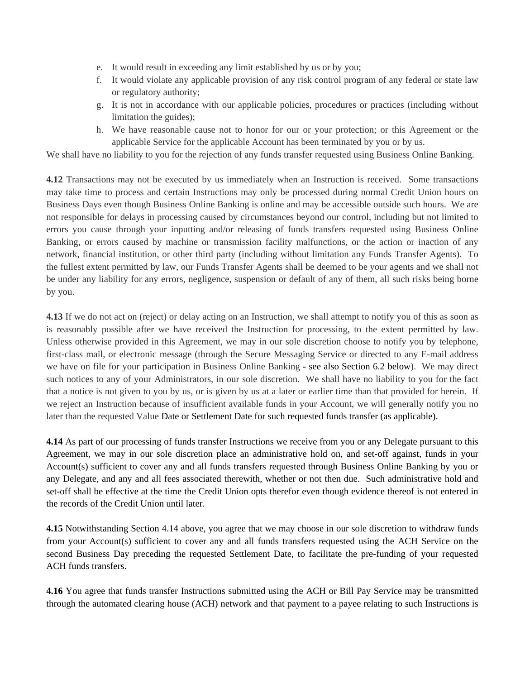- e. It would result in exceeding any limit established by us or by you;
- f. It would violate any applicable provision of any risk control program of any federal or state law or regulatory authority;
- g. It is not in accordance with our applicable policies, procedures or practices (including without limitation the guides);
- h. We have reasonable cause not to honor for our or your protection; or this Agreement or the applicable Service for the applicable Account has been terminated by you or by us.

We shall have no liability to you for the rejection of any funds transfer requested using Business Online Banking.

**4.12** Transactions may not be executed by us immediately when an Instruction is received. Some transactions may take time to process and certain Instructions may only be processed during normal Credit Union hours on Business Days even though Business Online Banking is online and may be accessible outside such hours. We are not responsible for delays in processing caused by circumstances beyond our control, including but not limited to errors you cause through your inputting and/or releasing of funds transfers requested using Business Online Banking, or errors caused by machine or transmission facility malfunctions, or the action or inaction of any network, financial institution, or other third party (including without limitation any Funds Transfer Agents). To the fullest extent permitted by law, our Funds Transfer Agents shall be deemed to be your agents and we shall not be under any liability for any errors, negligence, suspension or default of any of them, all such risks being borne by you.

**4.13** If we do not act on (reject) or delay acting on an Instruction, we shall attempt to notify you of this as soon as is reasonably possible after we have received the Instruction for processing, to the extent permitted by law. Unless otherwise provided in this Agreement, we may in our sole discretion choose to notify you by telephone, first-class mail, or electronic message (through the Secure Messaging Service or directed to any E-mail address we have on file for your participation in Business Online Banking - see also Section 6.2 below). We may direct such notices to any of your Administrators, in our sole discretion. We shall have no liability to you for the fact that a notice is not given to you by us, or is given by us at a later or earlier time than that provided for herein. If we reject an Instruction because of insufficient available funds in your Account, we will generally notify you no later than the requested Value Date or Settlement Date for such requested funds transfer (as applicable).

**4.14** As part of our processing of funds transfer Instructions we receive from you or any Delegate pursuant to this Agreement, we may in our sole discretion place an administrative hold on, and set-off against, funds in your Account(s) sufficient to cover any and all funds transfers requested through Business Online Banking by you or any Delegate, and any and all fees associated therewith, whether or not then due. Such administrative hold and set-off shall be effective at the time the Credit Union opts therefor even though evidence thereof is not entered in the records of the Credit Union until later.

**4.15** Notwithstanding Section 4.14 above, you agree that we may choose in our sole discretion to withdraw funds from your Account(s) sufficient to cover any and all funds transfers requested using the ACH Service on the second Business Day preceding the requested Settlement Date, to facilitate the pre-funding of your requested ACH funds transfers.

**4.16** You agree that funds transfer Instructions submitted using the ACH or Bill Pay Service may be transmitted through the automated clearing house (ACH) network and that payment to a payee relating to such Instructions is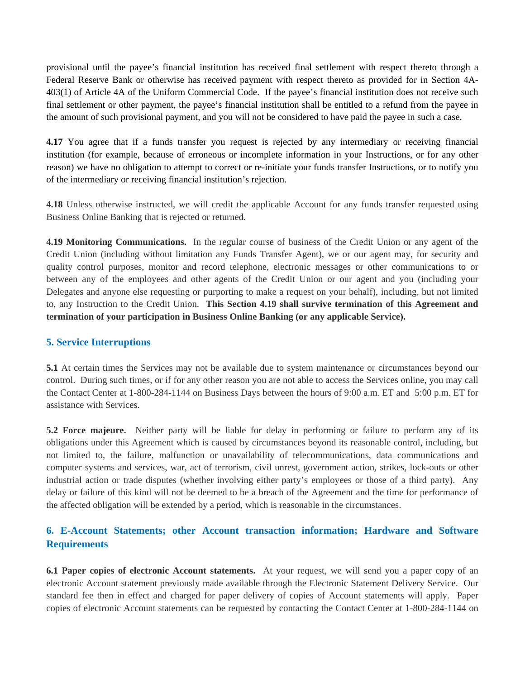provisional until the payee's financial institution has received final settlement with respect thereto through a Federal Reserve Bank or otherwise has received payment with respect thereto as provided for in Section 4A-403(1) of Article 4A of the Uniform Commercial Code. If the payee's financial institution does not receive such final settlement or other payment, the payee's financial institution shall be entitled to a refund from the payee in the amount of such provisional payment, and you will not be considered to have paid the payee in such a case.

**4.17** You agree that if a funds transfer you request is rejected by any intermediary or receiving financial institution (for example, because of erroneous or incomplete information in your Instructions, or for any other reason) we have no obligation to attempt to correct or re-initiate your funds transfer Instructions, or to notify you of the intermediary or receiving financial institution's rejection.

**4.18** Unless otherwise instructed, we will credit the applicable Account for any funds transfer requested using Business Online Banking that is rejected or returned.

**4.19 Monitoring Communications.** In the regular course of business of the Credit Union or any agent of the Credit Union (including without limitation any Funds Transfer Agent), we or our agent may, for security and quality control purposes, monitor and record telephone, electronic messages or other communications to or between any of the employees and other agents of the Credit Union or our agent and you (including your Delegates and anyone else requesting or purporting to make a request on your behalf), including, but not limited to, any Instruction to the Credit Union. **This Section 4.19 shall survive termination of this Agreement and termination of your participation in Business Online Banking (or any applicable Service).** 

#### **5. Service Interruptions**

**5.1** At certain times the Services may not be available due to system maintenance or circumstances beyond our control. During such times, or if for any other reason you are not able to access the Services online, you may call the Contact Center at 1-800-284-1144 on Business Days between the hours of 9:00 a.m. ET and 5:00 p.m. ET for assistance with Services.

**5.2 Force majeure.** Neither party will be liable for delay in performing or failure to perform any of its obligations under this Agreement which is caused by circumstances beyond its reasonable control, including, but not limited to, the failure, malfunction or unavailability of telecommunications, data communications and computer systems and services, war, act of terrorism, civil unrest, government action, strikes, lock-outs or other industrial action or trade disputes (whether involving either party's employees or those of a third party). Any delay or failure of this kind will not be deemed to be a breach of the Agreement and the time for performance of the affected obligation will be extended by a period, which is reasonable in the circumstances.

# **6. E-Account Statements; other Account transaction information; Hardware and Software Requirements**

**6.1 Paper copies of electronic Account statements.** At your request, we will send you a paper copy of an electronic Account statement previously made available through the Electronic Statement Delivery Service. Our standard fee then in effect and charged for paper delivery of copies of Account statements will apply. Paper copies of electronic Account statements can be requested by contacting the Contact Center at 1-800-284-1144 on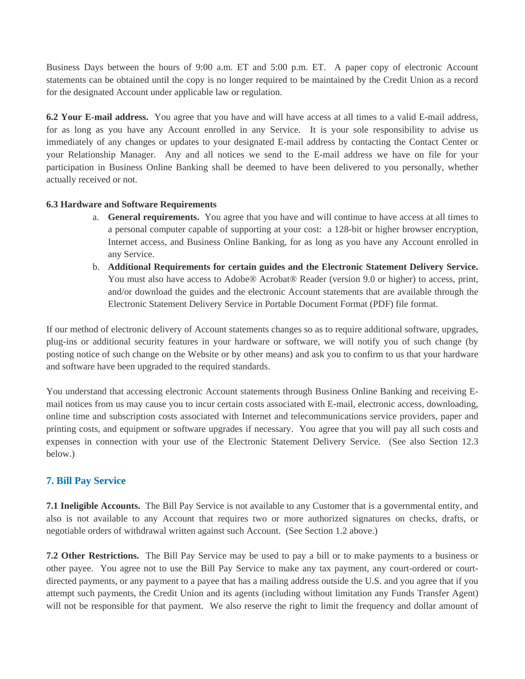Business Days between the hours of 9:00 a.m. ET and 5:00 p.m. ET. A paper copy of electronic Account statements can be obtained until the copy is no longer required to be maintained by the Credit Union as a record for the designated Account under applicable law or regulation.

**6.2 Your E-mail address.** You agree that you have and will have access at all times to a valid E-mail address, for as long as you have any Account enrolled in any Service. It is your sole responsibility to advise us immediately of any changes or updates to your designated E-mail address by contacting the Contact Center or your Relationship Manager. Any and all notices we send to the E-mail address we have on file for your participation in Business Online Banking shall be deemed to have been delivered to you personally, whether actually received or not.

#### **6.3 Hardware and Software Requirements**

- a. **General requirements.** You agree that you have and will continue to have access at all times to a personal computer capable of supporting at your cost: a 128-bit or higher browser encryption, Internet access, and Business Online Banking, for as long as you have any Account enrolled in any Service.
- b. **Additional Requirements for certain guides and the Electronic Statement Delivery Service.**  You must also have access to Adobe® Acrobat® Reader (version 9.0 or higher) to access, print, and/or download the guides and the electronic Account statements that are available through the Electronic Statement Delivery Service in Portable Document Format (PDF) file format.

If our method of electronic delivery of Account statements changes so as to require additional software, upgrades, plug-ins or additional security features in your hardware or software, we will notify you of such change (by posting notice of such change on the Website or by other means) and ask you to confirm to us that your hardware and software have been upgraded to the required standards.

You understand that accessing electronic Account statements through Business Online Banking and receiving Email notices from us may cause you to incur certain costs associated with E-mail, electronic access, downloading, online time and subscription costs associated with Internet and telecommunications service providers, paper and printing costs, and equipment or software upgrades if necessary. You agree that you will pay all such costs and expenses in connection with your use of the Electronic Statement Delivery Service. (See also Section 12.3 below.)

## **7. Bill Pay Service**

**7.1 Ineligible Accounts.** The Bill Pay Service is not available to any Customer that is a governmental entity, and also is not available to any Account that requires two or more authorized signatures on checks, drafts, or negotiable orders of withdrawal written against such Account. (See Section 1.2 above.)

**7.2 Other Restrictions.** The Bill Pay Service may be used to pay a bill or to make payments to a business or other payee. You agree not to use the Bill Pay Service to make any tax payment, any court-ordered or courtdirected payments, or any payment to a payee that has a mailing address outside the U.S. and you agree that if you attempt such payments, the Credit Union and its agents (including without limitation any Funds Transfer Agent) will not be responsible for that payment. We also reserve the right to limit the frequency and dollar amount of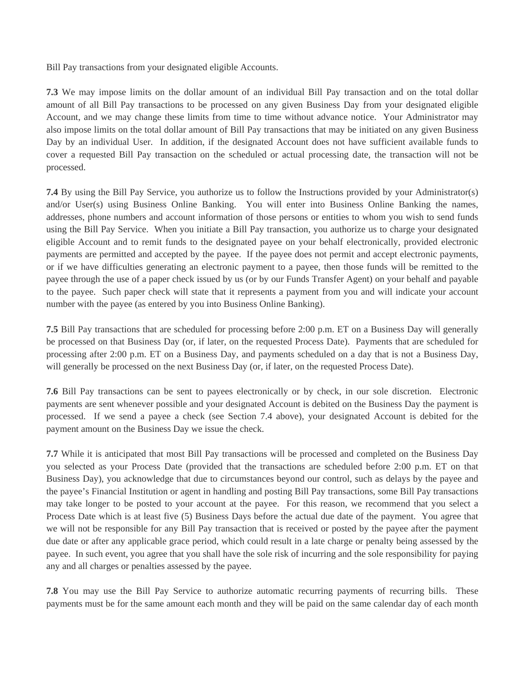Bill Pay transactions from your designated eligible Accounts.

**7.3** We may impose limits on the dollar amount of an individual Bill Pay transaction and on the total dollar amount of all Bill Pay transactions to be processed on any given Business Day from your designated eligible Account, and we may change these limits from time to time without advance notice. Your Administrator may also impose limits on the total dollar amount of Bill Pay transactions that may be initiated on any given Business Day by an individual User. In addition, if the designated Account does not have sufficient available funds to cover a requested Bill Pay transaction on the scheduled or actual processing date, the transaction will not be processed.

**7.4** By using the Bill Pay Service, you authorize us to follow the Instructions provided by your Administrator(s) and/or User(s) using Business Online Banking. You will enter into Business Online Banking the names, addresses, phone numbers and account information of those persons or entities to whom you wish to send funds using the Bill Pay Service. When you initiate a Bill Pay transaction, you authorize us to charge your designated eligible Account and to remit funds to the designated payee on your behalf electronically, provided electronic payments are permitted and accepted by the payee. If the payee does not permit and accept electronic payments, or if we have difficulties generating an electronic payment to a payee, then those funds will be remitted to the payee through the use of a paper check issued by us (or by our Funds Transfer Agent) on your behalf and payable to the payee. Such paper check will state that it represents a payment from you and will indicate your account number with the payee (as entered by you into Business Online Banking).

**7.5** Bill Pay transactions that are scheduled for processing before 2:00 p.m. ET on a Business Day will generally be processed on that Business Day (or, if later, on the requested Process Date). Payments that are scheduled for processing after 2:00 p.m. ET on a Business Day, and payments scheduled on a day that is not a Business Day, will generally be processed on the next Business Day (or, if later, on the requested Process Date).

**7.6** Bill Pay transactions can be sent to payees electronically or by check, in our sole discretion. Electronic payments are sent whenever possible and your designated Account is debited on the Business Day the payment is processed. If we send a payee a check (see Section 7.4 above), your designated Account is debited for the payment amount on the Business Day we issue the check.

**7.7** While it is anticipated that most Bill Pay transactions will be processed and completed on the Business Day you selected as your Process Date (provided that the transactions are scheduled before 2:00 p.m. ET on that Business Day), you acknowledge that due to circumstances beyond our control, such as delays by the payee and the payee's Financial Institution or agent in handling and posting Bill Pay transactions, some Bill Pay transactions may take longer to be posted to your account at the payee. For this reason, we recommend that you select a Process Date which is at least five (5) Business Days before the actual due date of the payment. You agree that we will not be responsible for any Bill Pay transaction that is received or posted by the payee after the payment due date or after any applicable grace period, which could result in a late charge or penalty being assessed by the payee. In such event, you agree that you shall have the sole risk of incurring and the sole responsibility for paying any and all charges or penalties assessed by the payee.

**7.8** You may use the Bill Pay Service to authorize automatic recurring payments of recurring bills. These payments must be for the same amount each month and they will be paid on the same calendar day of each month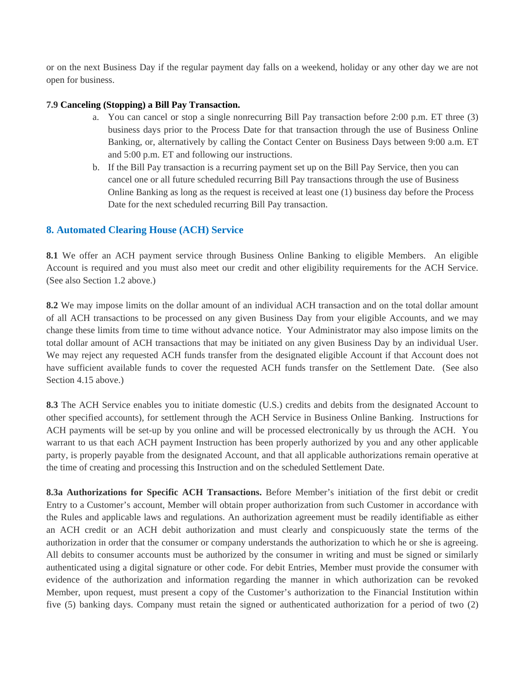or on the next Business Day if the regular payment day falls on a weekend, holiday or any other day we are not open for business.

#### **7.9 Canceling (Stopping) a Bill Pay Transaction.**

- a. You can cancel or stop a single nonrecurring Bill Pay transaction before 2:00 p.m. ET three (3) business days prior to the Process Date for that transaction through the use of Business Online Banking, or, alternatively by calling the Contact Center on Business Days between 9:00 a.m. ET and 5:00 p.m. ET and following our instructions.
- b. If the Bill Pay transaction is a recurring payment set up on the Bill Pay Service, then you can cancel one or all future scheduled recurring Bill Pay transactions through the use of Business Online Banking as long as the request is received at least one (1) business day before the Process Date for the next scheduled recurring Bill Pay transaction.

#### **8. Automated Clearing House (ACH) Service**

**8.1** We offer an ACH payment service through Business Online Banking to eligible Members. An eligible Account is required and you must also meet our credit and other eligibility requirements for the ACH Service. (See also Section 1.2 above.)

**8.2** We may impose limits on the dollar amount of an individual ACH transaction and on the total dollar amount of all ACH transactions to be processed on any given Business Day from your eligible Accounts, and we may change these limits from time to time without advance notice. Your Administrator may also impose limits on the total dollar amount of ACH transactions that may be initiated on any given Business Day by an individual User. We may reject any requested ACH funds transfer from the designated eligible Account if that Account does not have sufficient available funds to cover the requested ACH funds transfer on the Settlement Date. (See also Section 4.15 above.)

**8.3** The ACH Service enables you to initiate domestic (U.S.) credits and debits from the designated Account to other specified accounts), for settlement through the ACH Service in Business Online Banking. Instructions for ACH payments will be set-up by you online and will be processed electronically by us through the ACH. You warrant to us that each ACH payment Instruction has been properly authorized by you and any other applicable party, is properly payable from the designated Account, and that all applicable authorizations remain operative at the time of creating and processing this Instruction and on the scheduled Settlement Date.

**8.3a Authorizations for Specific ACH Transactions.** Before Member's initiation of the first debit or credit Entry to a Customer's account, Member will obtain proper authorization from such Customer in accordance with the Rules and applicable laws and regulations. An authorization agreement must be readily identifiable as either an ACH credit or an ACH debit authorization and must clearly and conspicuously state the terms of the authorization in order that the consumer or company understands the authorization to which he or she is agreeing. All debits to consumer accounts must be authorized by the consumer in writing and must be signed or similarly authenticated using a digital signature or other code. For debit Entries, Member must provide the consumer with evidence of the authorization and information regarding the manner in which authorization can be revoked Member, upon request, must present a copy of the Customer's authorization to the Financial Institution within five (5) banking days. Company must retain the signed or authenticated authorization for a period of two (2)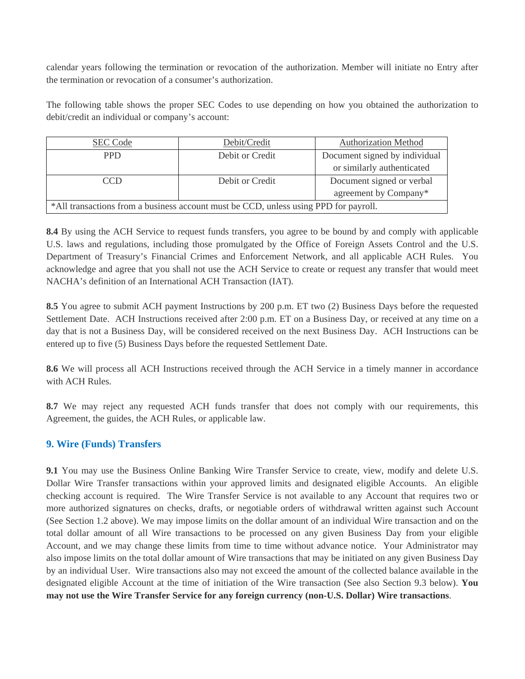calendar years following the termination or revocation of the authorization. Member will initiate no Entry after the termination or revocation of a consumer's authorization.

The following table shows the proper SEC Codes to use depending on how you obtained the authorization to debit/credit an individual or company's account:

| <b>SEC Code</b>                                                                      | Debit/Credit    | <b>Authorization Method</b>   |
|--------------------------------------------------------------------------------------|-----------------|-------------------------------|
| <b>PPD</b>                                                                           | Debit or Credit | Document signed by individual |
|                                                                                      |                 | or similarly authenticated    |
| CCD                                                                                  | Debit or Credit | Document signed or verbal     |
|                                                                                      |                 | agreement by Company*         |
| *All transactions from a business account must be CCD, unless using PPD for payroll. |                 |                               |

**8.4** By using the ACH Service to request funds transfers, you agree to be bound by and comply with applicable U.S. laws and regulations, including those promulgated by the Office of Foreign Assets Control and the U.S. Department of Treasury's Financial Crimes and Enforcement Network, and all applicable ACH Rules. You acknowledge and agree that you shall not use the ACH Service to create or request any transfer that would meet NACHA's definition of an International ACH Transaction (IAT).

**8.5** You agree to submit ACH payment Instructions by 200 p.m. ET two (2) Business Days before the requested Settlement Date. ACH Instructions received after 2:00 p.m. ET on a Business Day, or received at any time on a day that is not a Business Day, will be considered received on the next Business Day. ACH Instructions can be entered up to five (5) Business Days before the requested Settlement Date.

**8.6** We will process all ACH Instructions received through the ACH Service in a timely manner in accordance with ACH Rules.

**8.7** We may reject any requested ACH funds transfer that does not comply with our requirements, this Agreement, the guides, the ACH Rules, or applicable law.

## **9. Wire (Funds) Transfers**

**9.1** You may use the Business Online Banking Wire Transfer Service to create, view, modify and delete U.S. Dollar Wire Transfer transactions within your approved limits and designated eligible Accounts. An eligible checking account is required. The Wire Transfer Service is not available to any Account that requires two or more authorized signatures on checks, drafts, or negotiable orders of withdrawal written against such Account (See Section 1.2 above). We may impose limits on the dollar amount of an individual Wire transaction and on the total dollar amount of all Wire transactions to be processed on any given Business Day from your eligible Account, and we may change these limits from time to time without advance notice. Your Administrator may also impose limits on the total dollar amount of Wire transactions that may be initiated on any given Business Day by an individual User. Wire transactions also may not exceed the amount of the collected balance available in the designated eligible Account at the time of initiation of the Wire transaction (See also Section 9.3 below). **You may not use the Wire Transfer Service for any foreign currency (non-U.S. Dollar) Wire transactions**.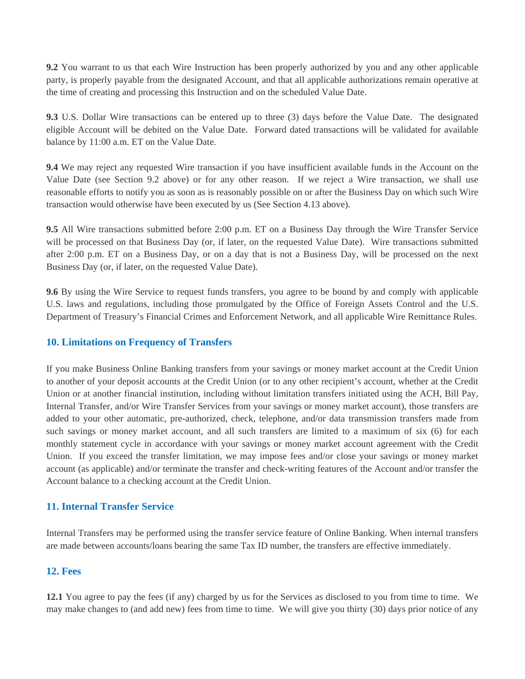**9.2** You warrant to us that each Wire Instruction has been properly authorized by you and any other applicable party, is properly payable from the designated Account, and that all applicable authorizations remain operative at the time of creating and processing this Instruction and on the scheduled Value Date.

**9.3** U.S. Dollar Wire transactions can be entered up to three (3) days before the Value Date. The designated eligible Account will be debited on the Value Date. Forward dated transactions will be validated for available balance by 11:00 a.m. ET on the Value Date.

**9.4** We may reject any requested Wire transaction if you have insufficient available funds in the Account on the Value Date (see Section 9.2 above) or for any other reason. If we reject a Wire transaction, we shall use reasonable efforts to notify you as soon as is reasonably possible on or after the Business Day on which such Wire transaction would otherwise have been executed by us (See Section 4.13 above).

**9.5** All Wire transactions submitted before 2:00 p.m. ET on a Business Day through the Wire Transfer Service will be processed on that Business Day (or, if later, on the requested Value Date). Wire transactions submitted after 2:00 p.m. ET on a Business Day, or on a day that is not a Business Day, will be processed on the next Business Day (or, if later, on the requested Value Date).

**9.6** By using the Wire Service to request funds transfers, you agree to be bound by and comply with applicable U.S. laws and regulations, including those promulgated by the Office of Foreign Assets Control and the U.S. Department of Treasury's Financial Crimes and Enforcement Network, and all applicable Wire Remittance Rules.

## **10. Limitations on Frequency of Transfers**

If you make Business Online Banking transfers from your savings or money market account at the Credit Union to another of your deposit accounts at the Credit Union (or to any other recipient's account, whether at the Credit Union or at another financial institution, including without limitation transfers initiated using the ACH, Bill Pay, Internal Transfer, and/or Wire Transfer Services from your savings or money market account), those transfers are added to your other automatic, pre-authorized, check, telephone, and/or data transmission transfers made from such savings or money market account, and all such transfers are limited to a maximum of six (6) for each monthly statement cycle in accordance with your savings or money market account agreement with the Credit Union. If you exceed the transfer limitation, we may impose fees and/or close your savings or money market account (as applicable) and/or terminate the transfer and check-writing features of the Account and/or transfer the Account balance to a checking account at the Credit Union.

## **11. Internal Transfer Service**

Internal Transfers may be performed using the transfer service feature of Online Banking. When internal transfers are made between accounts/loans bearing the same Tax ID number, the transfers are effective immediately.

## **12. Fees**

**12.1** You agree to pay the fees (if any) charged by us for the Services as disclosed to you from time to time. We may make changes to (and add new) fees from time to time. We will give you thirty (30) days prior notice of any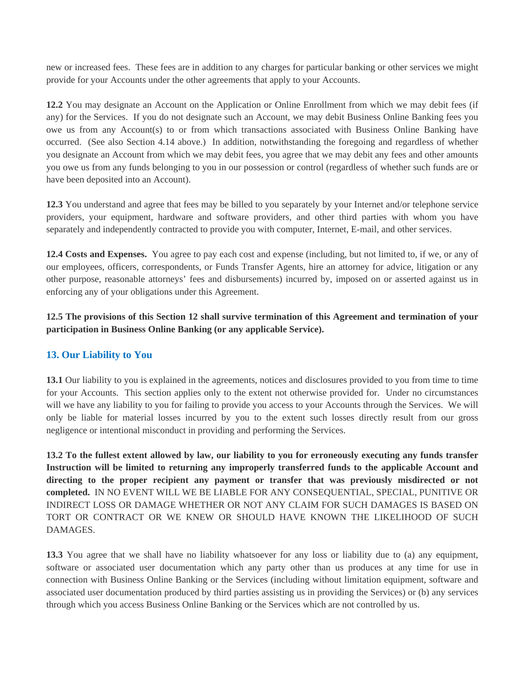new or increased fees. These fees are in addition to any charges for particular banking or other services we might provide for your Accounts under the other agreements that apply to your Accounts.

**12.2** You may designate an Account on the Application or Online Enrollment from which we may debit fees (if any) for the Services. If you do not designate such an Account, we may debit Business Online Banking fees you owe us from any Account(s) to or from which transactions associated with Business Online Banking have occurred. (See also Section 4.14 above.) In addition, notwithstanding the foregoing and regardless of whether you designate an Account from which we may debit fees, you agree that we may debit any fees and other amounts you owe us from any funds belonging to you in our possession or control (regardless of whether such funds are or have been deposited into an Account).

**12.3** You understand and agree that fees may be billed to you separately by your Internet and/or telephone service providers, your equipment, hardware and software providers, and other third parties with whom you have separately and independently contracted to provide you with computer, Internet, E-mail, and other services.

**12.4 Costs and Expenses.** You agree to pay each cost and expense (including, but not limited to, if we, or any of our employees, officers, correspondents, or Funds Transfer Agents, hire an attorney for advice, litigation or any other purpose, reasonable attorneys' fees and disbursements) incurred by, imposed on or asserted against us in enforcing any of your obligations under this Agreement.

**12.5 The provisions of this Section 12 shall survive termination of this Agreement and termination of your participation in Business Online Banking (or any applicable Service).**

## **13. Our Liability to You**

**13.1** Our liability to you is explained in the agreements, notices and disclosures provided to you from time to time for your Accounts. This section applies only to the extent not otherwise provided for. Under no circumstances will we have any liability to you for failing to provide you access to your Accounts through the Services. We will only be liable for material losses incurred by you to the extent such losses directly result from our gross negligence or intentional misconduct in providing and performing the Services.

**13.2 To the fullest extent allowed by law, our liability to you for erroneously executing any funds transfer Instruction will be limited to returning any improperly transferred funds to the applicable Account and directing to the proper recipient any payment or transfer that was previously misdirected or not completed.** IN NO EVENT WILL WE BE LIABLE FOR ANY CONSEQUENTIAL, SPECIAL, PUNITIVE OR INDIRECT LOSS OR DAMAGE WHETHER OR NOT ANY CLAIM FOR SUCH DAMAGES IS BASED ON TORT OR CONTRACT OR WE KNEW OR SHOULD HAVE KNOWN THE LIKELIHOOD OF SUCH DAMAGES.

**13.3** You agree that we shall have no liability whatsoever for any loss or liability due to (a) any equipment, software or associated user documentation which any party other than us produces at any time for use in connection with Business Online Banking or the Services (including without limitation equipment, software and associated user documentation produced by third parties assisting us in providing the Services) or (b) any services through which you access Business Online Banking or the Services which are not controlled by us.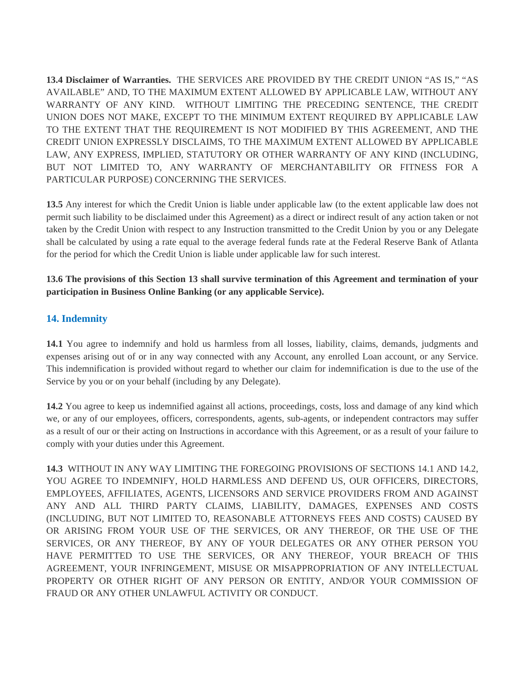**13.4 Disclaimer of Warranties.** THE SERVICES ARE PROVIDED BY THE CREDIT UNION "AS IS," "AS AVAILABLE" AND, TO THE MAXIMUM EXTENT ALLOWED BY APPLICABLE LAW, WITHOUT ANY WARRANTY OF ANY KIND. WITHOUT LIMITING THE PRECEDING SENTENCE, THE CREDIT UNION DOES NOT MAKE, EXCEPT TO THE MINIMUM EXTENT REQUIRED BY APPLICABLE LAW TO THE EXTENT THAT THE REQUIREMENT IS NOT MODIFIED BY THIS AGREEMENT, AND THE CREDIT UNION EXPRESSLY DISCLAIMS, TO THE MAXIMUM EXTENT ALLOWED BY APPLICABLE LAW, ANY EXPRESS, IMPLIED, STATUTORY OR OTHER WARRANTY OF ANY KIND (INCLUDING, BUT NOT LIMITED TO, ANY WARRANTY OF MERCHANTABILITY OR FITNESS FOR A PARTICULAR PURPOSE) CONCERNING THE SERVICES.

**13.5** Any interest for which the Credit Union is liable under applicable law (to the extent applicable law does not permit such liability to be disclaimed under this Agreement) as a direct or indirect result of any action taken or not taken by the Credit Union with respect to any Instruction transmitted to the Credit Union by you or any Delegate shall be calculated by using a rate equal to the average federal funds rate at the Federal Reserve Bank of Atlanta for the period for which the Credit Union is liable under applicable law for such interest.

**13.6 The provisions of this Section 13 shall survive termination of this Agreement and termination of your participation in Business Online Banking (or any applicable Service).**

## **14. Indemnity**

**14.1** You agree to indemnify and hold us harmless from all losses, liability, claims, demands, judgments and expenses arising out of or in any way connected with any Account, any enrolled Loan account, or any Service. This indemnification is provided without regard to whether our claim for indemnification is due to the use of the Service by you or on your behalf (including by any Delegate).

**14.2** You agree to keep us indemnified against all actions, proceedings, costs, loss and damage of any kind which we, or any of our employees, officers, correspondents, agents, sub-agents, or independent contractors may suffer as a result of our or their acting on Instructions in accordance with this Agreement, or as a result of your failure to comply with your duties under this Agreement.

**14.3** WITHOUT IN ANY WAY LIMITING THE FOREGOING PROVISIONS OF SECTIONS 14.1 AND 14.2, YOU AGREE TO INDEMNIFY, HOLD HARMLESS AND DEFEND US, OUR OFFICERS, DIRECTORS, EMPLOYEES, AFFILIATES, AGENTS, LICENSORS AND SERVICE PROVIDERS FROM AND AGAINST ANY AND ALL THIRD PARTY CLAIMS, LIABILITY, DAMAGES, EXPENSES AND COSTS (INCLUDING, BUT NOT LIMITED TO, REASONABLE ATTORNEYS FEES AND COSTS) CAUSED BY OR ARISING FROM YOUR USE OF THE SERVICES, OR ANY THEREOF, OR THE USE OF THE SERVICES, OR ANY THEREOF, BY ANY OF YOUR DELEGATES OR ANY OTHER PERSON YOU HAVE PERMITTED TO USE THE SERVICES, OR ANY THEREOF, YOUR BREACH OF THIS AGREEMENT, YOUR INFRINGEMENT, MISUSE OR MISAPPROPRIATION OF ANY INTELLECTUAL PROPERTY OR OTHER RIGHT OF ANY PERSON OR ENTITY, AND/OR YOUR COMMISSION OF FRAUD OR ANY OTHER UNLAWFUL ACTIVITY OR CONDUCT.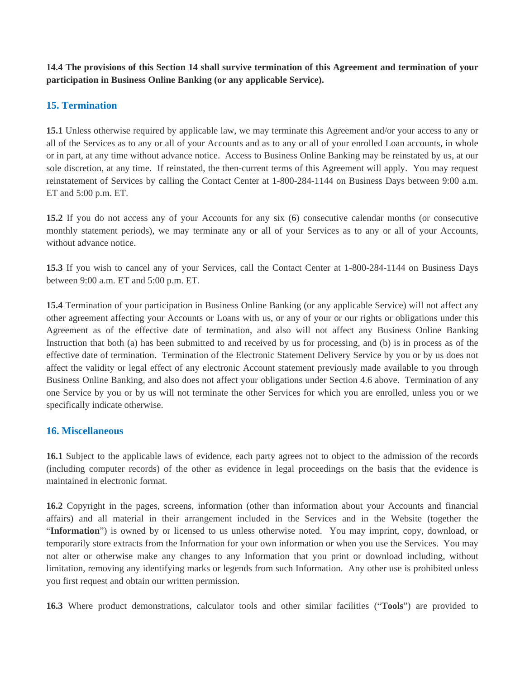**14.4 The provisions of this Section 14 shall survive termination of this Agreement and termination of your participation in Business Online Banking (or any applicable Service).** 

## **15. Termination**

**15.1** Unless otherwise required by applicable law, we may terminate this Agreement and/or your access to any or all of the Services as to any or all of your Accounts and as to any or all of your enrolled Loan accounts, in whole or in part, at any time without advance notice. Access to Business Online Banking may be reinstated by us, at our sole discretion, at any time. If reinstated, the then-current terms of this Agreement will apply. You may request reinstatement of Services by calling the Contact Center at 1-800-284-1144 on Business Days between 9:00 a.m. ET and 5:00 p.m. ET.

**15.2** If you do not access any of your Accounts for any six (6) consecutive calendar months (or consecutive monthly statement periods), we may terminate any or all of your Services as to any or all of your Accounts, without advance notice.

**15.3** If you wish to cancel any of your Services, call the Contact Center at 1-800-284-1144 on Business Days between 9:00 a.m. ET and 5:00 p.m. ET.

**15.4** Termination of your participation in Business Online Banking (or any applicable Service) will not affect any other agreement affecting your Accounts or Loans with us, or any of your or our rights or obligations under this Agreement as of the effective date of termination, and also will not affect any Business Online Banking Instruction that both (a) has been submitted to and received by us for processing, and (b) is in process as of the effective date of termination. Termination of the Electronic Statement Delivery Service by you or by us does not affect the validity or legal effect of any electronic Account statement previously made available to you through Business Online Banking, and also does not affect your obligations under Section 4.6 above. Termination of any one Service by you or by us will not terminate the other Services for which you are enrolled, unless you or we specifically indicate otherwise.

## **16. Miscellaneous**

**16.1** Subject to the applicable laws of evidence, each party agrees not to object to the admission of the records (including computer records) of the other as evidence in legal proceedings on the basis that the evidence is maintained in electronic format.

**16.2** Copyright in the pages, screens, information (other than information about your Accounts and financial affairs) and all material in their arrangement included in the Services and in the Website (together the "**Information**") is owned by or licensed to us unless otherwise noted. You may imprint, copy, download, or temporarily store extracts from the Information for your own information or when you use the Services. You may not alter or otherwise make any changes to any Information that you print or download including, without limitation, removing any identifying marks or legends from such Information. Any other use is prohibited unless you first request and obtain our written permission.

**16.3** Where product demonstrations, calculator tools and other similar facilities ("**Tools**") are provided to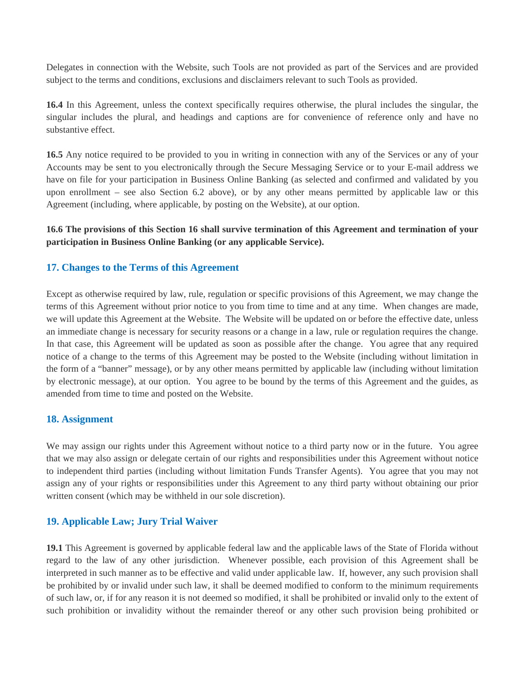Delegates in connection with the Website, such Tools are not provided as part of the Services and are provided subject to the terms and conditions, exclusions and disclaimers relevant to such Tools as provided.

**16.4** In this Agreement, unless the context specifically requires otherwise, the plural includes the singular, the singular includes the plural, and headings and captions are for convenience of reference only and have no substantive effect.

**16.5** Any notice required to be provided to you in writing in connection with any of the Services or any of your Accounts may be sent to you electronically through the Secure Messaging Service or to your E-mail address we have on file for your participation in Business Online Banking (as selected and confirmed and validated by you upon enrollment – see also Section 6.2 above), or by any other means permitted by applicable law or this Agreement (including, where applicable, by posting on the Website), at our option.

#### **16.6 The provisions of this Section 16 shall survive termination of this Agreement and termination of your participation in Business Online Banking (or any applicable Service).**

#### **17. Changes to the Terms of this Agreement**

Except as otherwise required by law, rule, regulation or specific provisions of this Agreement, we may change the terms of this Agreement without prior notice to you from time to time and at any time. When changes are made, we will update this Agreement at the Website. The Website will be updated on or before the effective date, unless an immediate change is necessary for security reasons or a change in a law, rule or regulation requires the change. In that case, this Agreement will be updated as soon as possible after the change. You agree that any required notice of a change to the terms of this Agreement may be posted to the Website (including without limitation in the form of a "banner" message), or by any other means permitted by applicable law (including without limitation by electronic message), at our option. You agree to be bound by the terms of this Agreement and the guides, as amended from time to time and posted on the Website.

#### **18. Assignment**

We may assign our rights under this Agreement without notice to a third party now or in the future. You agree that we may also assign or delegate certain of our rights and responsibilities under this Agreement without notice to independent third parties (including without limitation Funds Transfer Agents). You agree that you may not assign any of your rights or responsibilities under this Agreement to any third party without obtaining our prior written consent (which may be withheld in our sole discretion).

## **19. Applicable Law; Jury Trial Waiver**

**19.1** This Agreement is governed by applicable federal law and the applicable laws of the State of Florida without regard to the law of any other jurisdiction. Whenever possible, each provision of this Agreement shall be interpreted in such manner as to be effective and valid under applicable law. If, however, any such provision shall be prohibited by or invalid under such law, it shall be deemed modified to conform to the minimum requirements of such law, or, if for any reason it is not deemed so modified, it shall be prohibited or invalid only to the extent of such prohibition or invalidity without the remainder thereof or any other such provision being prohibited or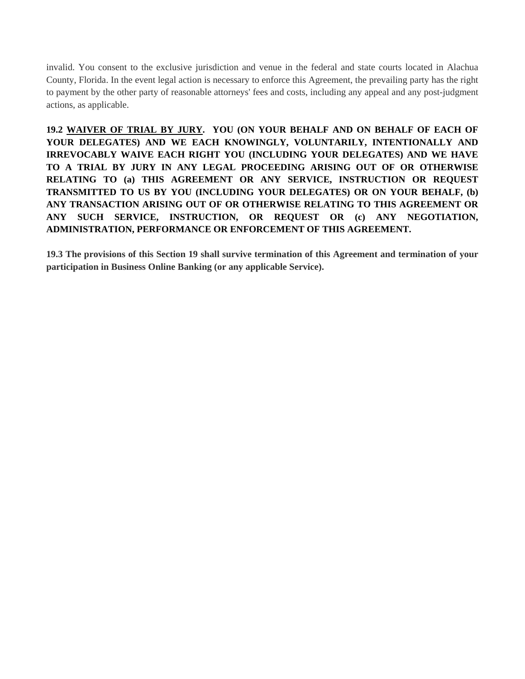invalid. You consent to the exclusive jurisdiction and venue in the federal and state courts located in Alachua County, Florida. In the event legal action is necessary to enforce this Agreement, the prevailing party has the right to payment by the other party of reasonable attorneys' fees and costs, including any appeal and any post-judgment actions, as applicable.

**19.2 WAIVER OF TRIAL BY JURY. YOU (ON YOUR BEHALF AND ON BEHALF OF EACH OF YOUR DELEGATES) AND WE EACH KNOWINGLY, VOLUNTARILY, INTENTIONALLY AND IRREVOCABLY WAIVE EACH RIGHT YOU (INCLUDING YOUR DELEGATES) AND WE HAVE TO A TRIAL BY JURY IN ANY LEGAL PROCEEDING ARISING OUT OF OR OTHERWISE RELATING TO (a) THIS AGREEMENT OR ANY SERVICE, INSTRUCTION OR REQUEST TRANSMITTED TO US BY YOU (INCLUDING YOUR DELEGATES) OR ON YOUR BEHALF, (b) ANY TRANSACTION ARISING OUT OF OR OTHERWISE RELATING TO THIS AGREEMENT OR ANY SUCH SERVICE, INSTRUCTION, OR REQUEST OR (c) ANY NEGOTIATION, ADMINISTRATION, PERFORMANCE OR ENFORCEMENT OF THIS AGREEMENT.** 

**19.3 The provisions of this Section 19 shall survive termination of this Agreement and termination of your participation in Business Online Banking (or any applicable Service).**